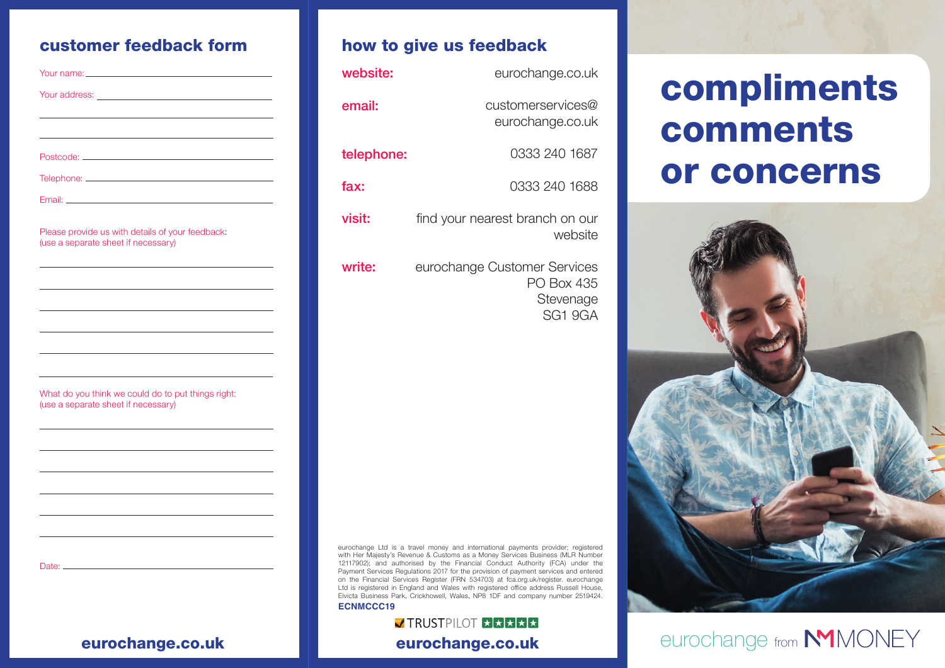| Your name: __________________                                                                       |  |
|-----------------------------------------------------------------------------------------------------|--|
|                                                                                                     |  |
|                                                                                                     |  |
|                                                                                                     |  |
|                                                                                                     |  |
|                                                                                                     |  |
| Email: Email: And All And All And All And All And All And All And All And All And All And All And A |  |
| Please provide us with details of your feedback:<br>(use a separate sheet if necessary)             |  |
|                                                                                                     |  |
|                                                                                                     |  |
|                                                                                                     |  |
|                                                                                                     |  |
|                                                                                                     |  |
| What do you think we could do to put things right:<br>(use a separate sheet if necessary)           |  |
|                                                                                                     |  |
|                                                                                                     |  |
|                                                                                                     |  |
|                                                                                                     |  |
|                                                                                                     |  |
|                                                                                                     |  |
|                                                                                                     |  |
|                                                                                                     |  |

## customer feedback form **how to give us feedback**

| website:   | eurochange.co.uk                                                   |
|------------|--------------------------------------------------------------------|
| email:     | customerservices@<br>eurochange.co.uk                              |
| telephone: | 0333 240 1687                                                      |
| fax:       | 0333 240 1688                                                      |
| visit:     | find your nearest branch on our<br>website                         |
| write:     | eurochange Customer Services<br>PO Box 435<br>Stevenage<br>SG1 9GA |

#### eurochange Ltd is a travel money and international payments provider; registered with Her Majesty's Revenue & Customs as a Money Services Business (MLR Number 12117902); and authorised by the Financial Conduct Authority (FCA) under the Payment Services Regulations 2017 for the provision of payment services and entered on the Financial Services Register (FRN 534703) at fca.org.uk/register. eurochange Ltd is registered in England and Wales with registered office address Russell House. Elvicta Business Park, Crickhowell, Wales, NP8 1DF and company number 2519424. **ECNMCCC19**

### **J TRUSTPILOT XXXXX** eurochange.co.uk eurochange.co.uk

# compliments comments or concerns



## eurochange from **NMMONEY**